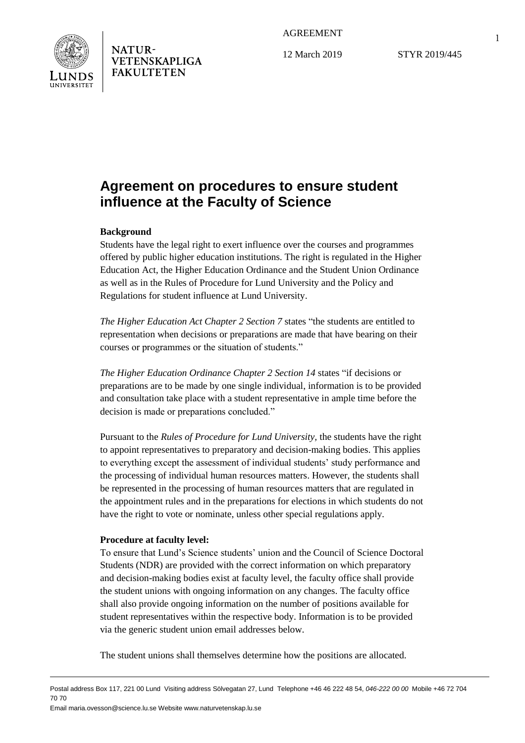AGREEMENT

**NATUR-**VETENSKAPLIGA **FAKULTETEN** 

12 March 2019 STYR 2019/445

## **Agreement on procedures to ensure student influence at the Faculty of Science**

## **Background**

Students have the legal right to exert influence over the courses and programmes offered by public higher education institutions. The right is regulated in the Higher Education Act, the Higher Education Ordinance and the Student Union Ordinance as well as in the Rules of Procedure for Lund University and the Policy and Regulations for student influence at Lund University.

*The Higher Education Act Chapter 2 Section 7* states "the students are entitled to representation when decisions or preparations are made that have bearing on their courses or programmes or the situation of students."

*The Higher Education Ordinance Chapter 2 Section 14* states "if decisions or preparations are to be made by one single individual, information is to be provided and consultation take place with a student representative in ample time before the decision is made or preparations concluded."

Pursuant to the *Rules of Procedure for Lund University,* the students have the right to appoint representatives to preparatory and decision-making bodies. This applies to everything except the assessment of individual students' study performance and the processing of individual human resources matters. However, the students shall be represented in the processing of human resources matters that are regulated in the appointment rules and in the preparations for elections in which students do not have the right to vote or nominate, unless other special regulations apply.

## **Procedure at faculty level:**

To ensure that Lund's Science students' union and the Council of Science Doctoral Students (NDR) are provided with the correct information on which preparatory and decision-making bodies exist at faculty level, the faculty office shall provide the student unions with ongoing information on any changes. The faculty office shall also provide ongoing information on the number of positions available for student representatives within the respective body. Information is to be provided via the generic student union email addresses below.

The student unions shall themselves determine how the positions are allocated.